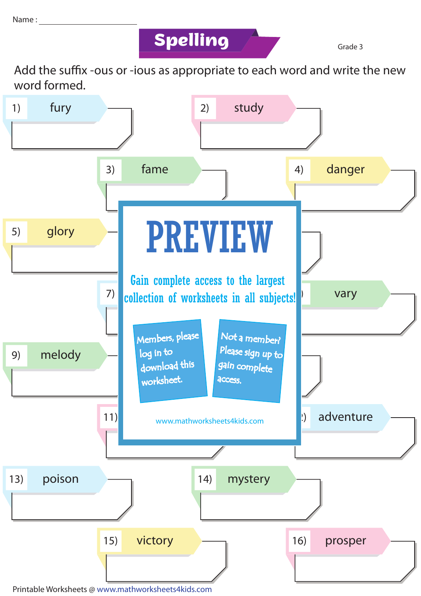## **Spelling Grade 3**

Add the suffix -ous or -ious as appropriate to each word and write the new word formed.



Printable Worksheets @ www.mathworksheets4kids.com